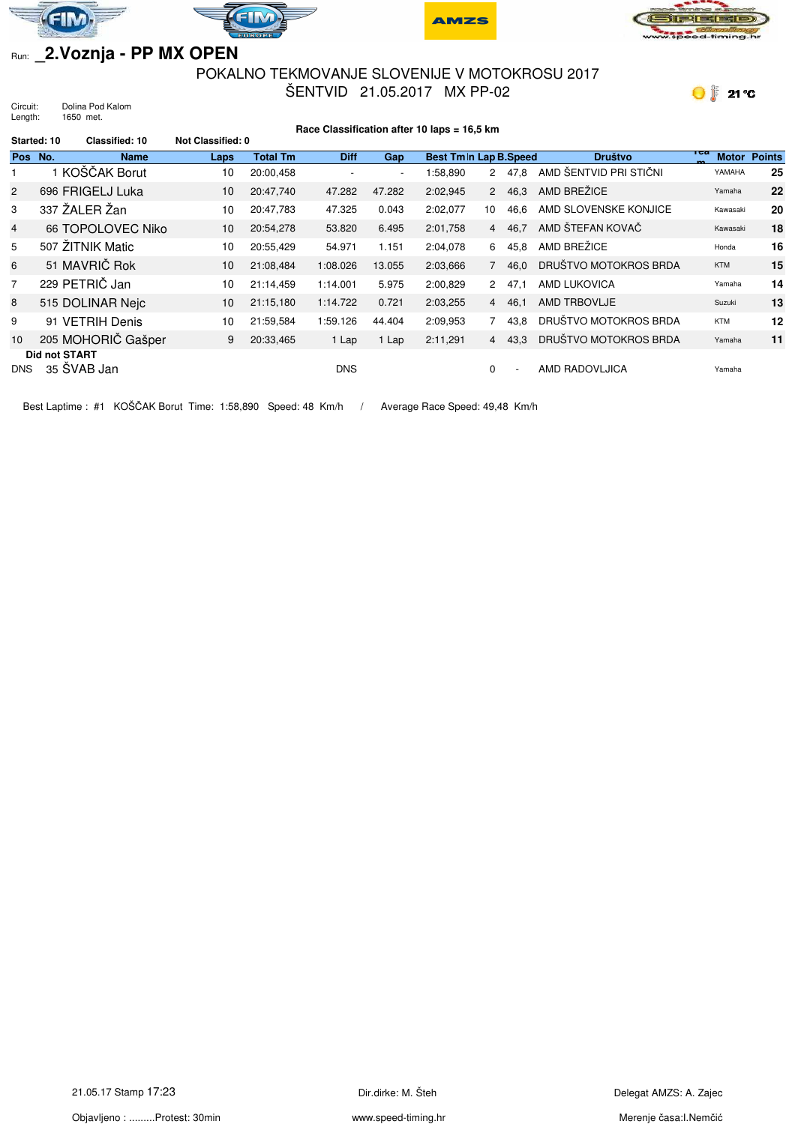







## Run: **\_2.Voznja - PP MX OPEN**

## POKALNO TEKMOVANJE SLOVENIJE V MOTOKROSU 2017 ŠENTVID 21.05.2017 MX PP-02

 $\bigcirc$  21 °C

Circuit: Dolina Pod Kalom Length: 1650 met.

|                | Race Classification after 10 laps = 16,5 km |                    |                          |                 |             |                          |                         |                |                          |                        |                     |               |
|----------------|---------------------------------------------|--------------------|--------------------------|-----------------|-------------|--------------------------|-------------------------|----------------|--------------------------|------------------------|---------------------|---------------|
| Started: 10    |                                             | Classified: 10     | <b>Not Classified: 0</b> |                 |             |                          |                         |                |                          |                        |                     |               |
| Pos No.        |                                             | <b>Name</b>        | Laps                     | <b>Total Tm</b> | <b>Diff</b> | Gap                      | Best Tm In Lap B. Speed |                |                          | <b>Društvo</b>         | теа<br><b>Motor</b> | <b>Points</b> |
|                |                                             | 1 KOŠČAK Borut     | 10                       | 20:00,458       |             | $\overline{\phantom{a}}$ | 1:58,890                | $\overline{2}$ | 47.8                     | AMD ŠENTVID PRI STIČNI | YAMAHA              | 25            |
| $\overline{2}$ |                                             | 696 FRIGELJ Luka   | 10                       | 20:47,740       | 47.282      | 47.282                   | 2:02,945                | $2^{\circ}$    | 46,3                     | AMD BREŽICE            | Yamaha              | 22            |
| 3              |                                             | 337 ŽALER Žan      | 10                       | 20:47,783       | 47.325      | 0.043                    | 2:02,077                | 10             | 46,6                     | AMD SLOVENSKE KONJICE  | Kawasaki            | 20            |
| $\overline{4}$ |                                             | 66 TOPOLOVEC Niko  | 10                       | 20:54.278       | 53.820      | 6.495                    | 2:01,758                |                | 4 46.7                   | AMD ŠTEFAN KOVAČ       | Kawasaki            | 18            |
| 5              |                                             | 507 ŽITNIK Matic   | 10                       | 20:55,429       | 54.971      | 1.151                    | 2:04.078                | 6              | 45.8                     | AMD BREŽICE            | Honda               | 16            |
| 6              |                                             | 51 MAVRIČ Rok      | 10                       | 21:08,484       | 1:08.026    | 13.055                   | 2:03,666                | $7^{\circ}$    | 46,0                     | DRUŠTVO MOTOKROS BRDA  | <b>KTM</b>          | 15            |
| 7              |                                             | 229 PETRIČ Jan     | 10                       | 21:14.459       | 1:14.001    | 5.975                    | 2:00,829                | $\overline{2}$ | 47.1                     | AMD LUKOVICA           | Yamaha              | 14            |
| 8              |                                             | 515 DOLINAR Nejc   | 10 <sup>°</sup>          | 21:15,180       | 1:14.722    | 0.721                    | 2:03,255                |                | 4 46,1                   | AMD TRBOVLJE           | Suzuki              | 13            |
| 9              |                                             | 91 VETRIH Denis    | 10                       | 21:59.584       | 1:59.126    | 44.404                   | 2:09,953                | $7^{\circ}$    | 43,8                     | DRUŠTVO MOTOKROS BRDA  | <b>KTM</b>          | 12            |
| 10             |                                             | 205 MOHORIČ Gašper | 9                        | 20:33,465       | 1 Lap       | 1 Lap                    | 2:11,291                |                | 4 43.3                   | DRUŠTVO MOTOKROS BRDA  | Yamaha              | 11            |
| <b>DNS</b>     | <b>Did not START</b>                        | 35 ŠVAB Jan        |                          |                 | <b>DNS</b>  |                          |                         | $\Omega$       | $\overline{\phantom{a}}$ | AMD RADOVLJICA         | Yamaha              |               |

Best Laptime : #1 KOŠČAK Borut Time: 1:58,890 Speed: 48 Km/h / Average Race Speed: 49,48 Km/h

Objavljeno : .........Protest: 30min